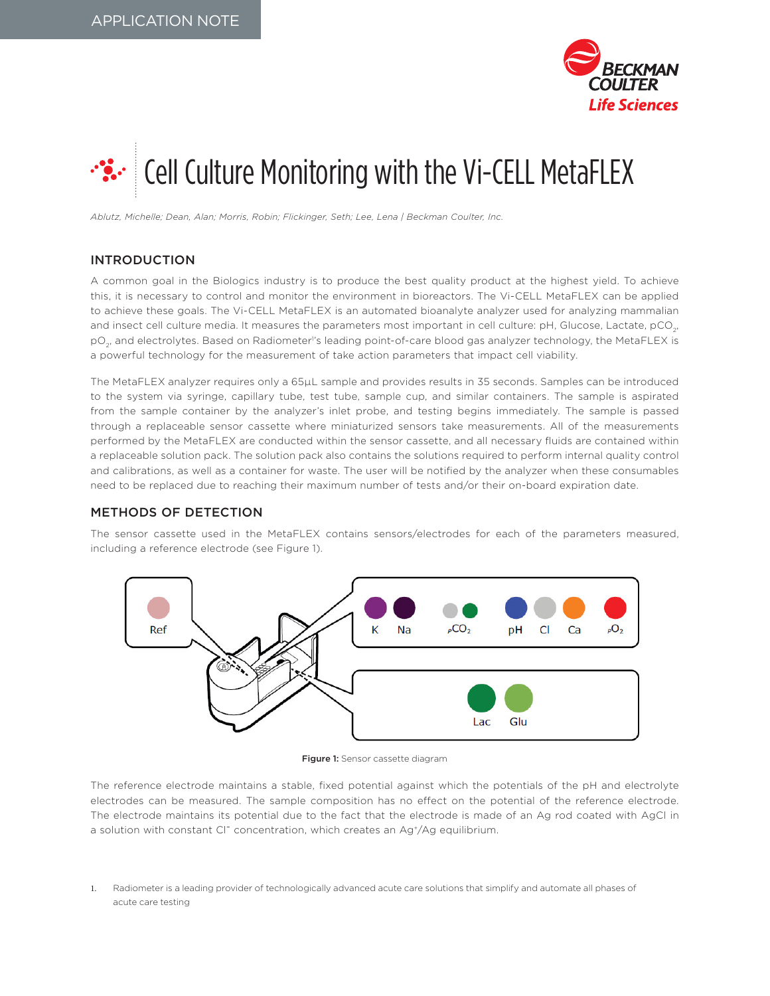

# Cell Culture Monitoring with the Vi-CELL MetaFLEX

*Ablutz, Michelle; Dean, Alan; Morris, Robin; Flickinger, Seth; Lee, Lena | Beckman Coulter, Inc.*

# INTRODUCTION

A common goal in the Biologics industry is to produce the best quality product at the highest yield. To achieve this, it is necessary to control and monitor the environment in bioreactors. The Vi-CELL MetaFLEX can be applied to achieve these goals. The Vi-CELL MetaFLEX is an automated bioanalyte analyzer used for analyzing mammalian and insect cell culture media. It measures the parameters most important in cell culture: pH, Glucose, Lactate, pCO<sub>2</sub>, pO<sub>2</sub>, and electrolytes. Based on Radiometer''s leading point-of-care blood gas analyzer technology, the MetaFLEX is a powerful technology for the measurement of take action parameters that impact cell viability.

The MetaFLEX analyzer requires only a 65µL sample and provides results in 35 seconds. Samples can be introduced to the system via syringe, capillary tube, test tube, sample cup, and similar containers. The sample is aspirated from the sample container by the analyzer's inlet probe, and testing begins immediately. The sample is passed through a replaceable sensor cassette where miniaturized sensors take measurements. All of the measurements performed by the MetaFLEX are conducted within the sensor cassette, and all necessary fluids are contained within a replaceable solution pack. The solution pack also contains the solutions required to perform internal quality control and calibrations, as well as a container for waste. The user will be notified by the analyzer when these consumables need to be replaced due to reaching their maximum number of tests and/or their on-board expiration date.

## METHODS OF DETECTION

The sensor cassette used in the MetaFLEX contains sensors/electrodes for each of the parameters measured, including a reference electrode (see Figure 1).



Figure 1: Sensor cassette diagram

The reference electrode maintains a stable, fixed potential against which the potentials of the pH and electrolyte electrodes can be measured. The sample composition has no effect on the potential of the reference electrode. The electrode maintains its potential due to the fact that the electrode is made of an Ag rod coated with AgCl in a solution with constant Cl<sup>-</sup> concentration, which creates an Ag<sup>+</sup>/Ag equilibrium.

1. Radiometer is a leading provider of technologically advanced acute care solutions that simplify and automate all phases of acute care testing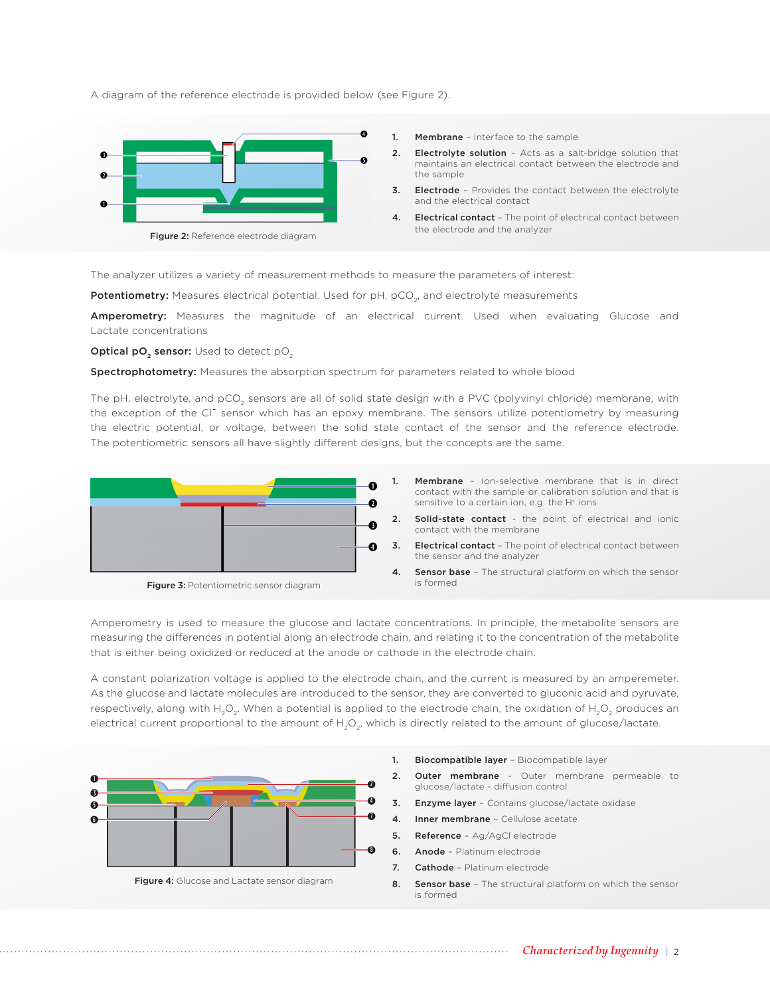A diagram of the reference electrode is provided below (see Figure 2).



1. Membrane - Interface to the sample

2. Electrolyte solution - Acts as a salt-bridge solution that maintains an electrical contact between the electrode and the sample

**3.** Electrode - Provides the contact between the electrolyte and the electrical contact

4. Electrical contact - The point of electrical contact between

The analyzer utilizes a variety of measurement methods to measure the parameters of interest:

Potentiometry: Measures electrical potential. Used for pH, pCO<sub>2</sub>, and electrolyte measurements

Amperometry: Measures the magnitude of an electrical current. Used when evaluating Glucose and Lactate concentrations

**Optical pO<sub>2</sub> sensor:** Used to detect  $pO<sub>2</sub>$ 

Spectrophotometry: Measures the absorption spectrum for parameters related to whole blood

The pH, electrolyte, and pCO<sub>2</sub> sensors are all of solid state design with a PVC (polyvinyl chloride) membrane, with the exception of the Cl<sup>-</sup> sensor which has an epoxy membrane. The sensors utilize potentiometry by measuring the electric potential, or voltage, between the solid state contact of the sensor and the reference electrode. The potentiometric sensors all have slightly different designs, but the concepts are the same.



- 1. Membrane Ion-selective membrane that is in direct contact with the sample or calibration solution and that is sensitive to a certain ion, e.g. the H<sup>+</sup> ions
- 2. Solid-state contact the point of electrical and ionic contact with the membrane
- **3.** Electrical contact The point of electrical contact between the sensor and the analyzer
- 4. Sensor base The structural platform on which the sensor

Amperometry is used to measure the glucose and lactate concentrations. In principle, the metabolite sensors are measuring the differences in potential along an electrode chain, and relating it to the concentration of the metabolite that is either being oxidized or reduced at the anode or cathode in the electrode chain.

A constant polarization voltage is applied to the electrode chain, and the current is measured by an amperemeter. As the glucose and lactate molecules are introduced to the sensor, they are converted to gluconic acid and pyruvate, respectively, along with H<sub>2</sub>O<sub>2</sub>. When a potential is applied to the electrode chain, the oxidation of H<sub>2</sub>O<sub>2</sub> produces an electrical current proportional to the amount of  $H_2O_2$ , which is directly related to the amount of glucose/lactate.



Figure 4: Glucose and Lactate sensor diagram

- 1. Biocompatible layer Biocompatible layer
- 2. Outer membrane Outer membrane permeable to glucose/lactate - diffusion control
- 3. Enzyme layer Contains glucose/lactate oxidase
- 4. Inner membrane Cellulose acetate
- 5. Reference Ag/AgCl electrode
- 6. Anode Platinum electrode
- 7. Cathode Platinum electrode
- 8. Sensor base The structural platform on which the sensor is formed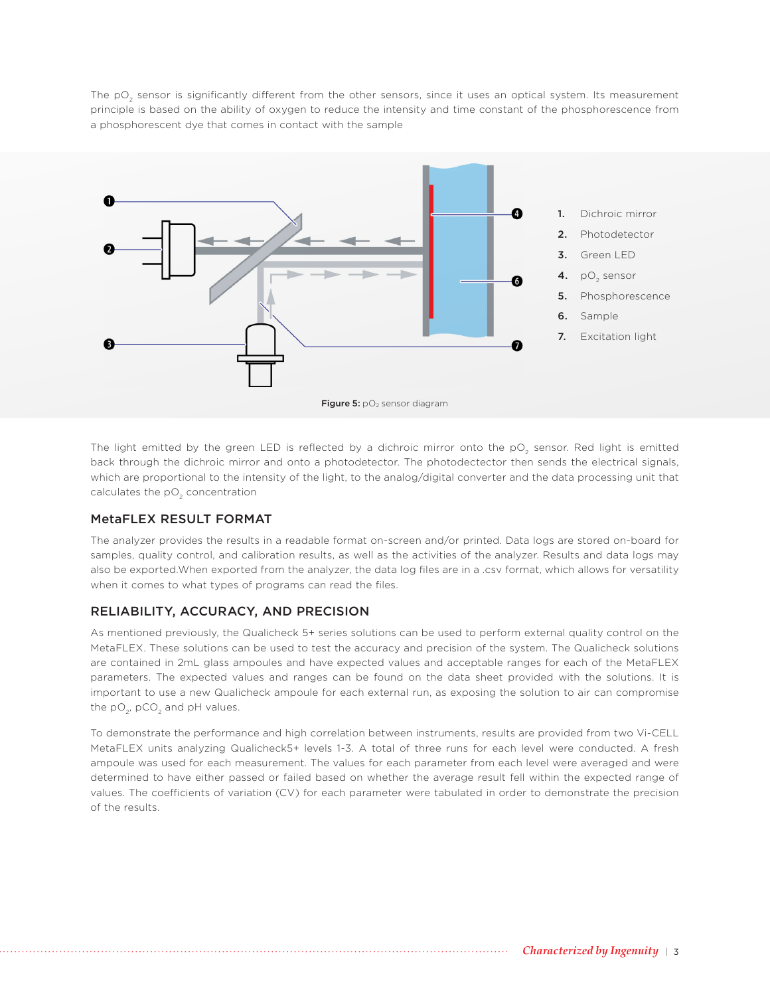The pO<sub>2</sub> sensor is significantly different from the other sensors, since it uses an optical system. Its measurement principle is based on the ability of oxygen to reduce the intensity and time constant of the phosphorescence from a phosphorescent dye that comes in contact with the sample



The light emitted by the green LED is reflected by a dichroic mirror onto the  $pO<sub>2</sub>$  sensor. Red light is emitted back through the dichroic mirror and onto a photodetector. The photodectector then sends the electrical signals, which are proportional to the intensity of the light, to the analog/digital converter and the data processing unit that calculates the  $pO<sub>2</sub>$  concentration

# MetaFLEX RESULT FORMAT

The analyzer provides the results in a readable format on-screen and/or printed. Data logs are stored on-board for samples, quality control, and calibration results, as well as the activities of the analyzer. Results and data logs may also be exported.When exported from the analyzer, the data log files are in a .csv format, which allows for versatility when it comes to what types of programs can read the files.

# RELIABILITY, ACCURACY, AND PRECISION

As mentioned previously, the Qualicheck 5+ series solutions can be used to perform external quality control on the MetaFLEX. These solutions can be used to test the accuracy and precision of the system. The Qualicheck solutions are contained in 2mL glass ampoules and have expected values and acceptable ranges for each of the MetaFLEX parameters. The expected values and ranges can be found on the data sheet provided with the solutions. It is important to use a new Qualicheck ampoule for each external run, as exposing the solution to air can compromise the  $pO<sub>2</sub>$ ,  $pCO<sub>2</sub>$  and  $pH$  values.

To demonstrate the performance and high correlation between instruments, results are provided from two Vi-CELL MetaFLEX units analyzing Qualicheck5+ levels 1-3. A total of three runs for each level were conducted. A fresh ampoule was used for each measurement. The values for each parameter from each level were averaged and were determined to have either passed or failed based on whether the average result fell within the expected range of values. The coefficients of variation (CV) for each parameter were tabulated in order to demonstrate the precision of the results.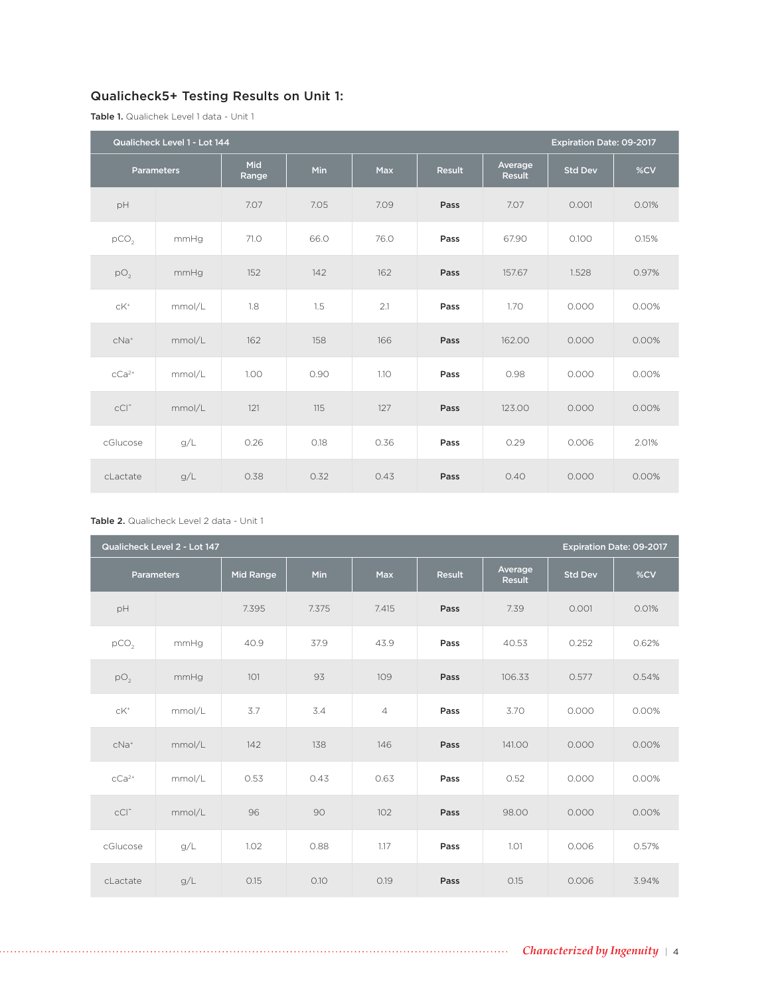# Qualicheck5+ Testing Results on Unit 1:

Table 1. Qualichek Level 1 data - Unit 1

|                   | Qualicheck Level 1 - Lot 144<br>Expiration Date: 09-2017 |              |            |            |        |                   |                |       |  |  |
|-------------------|----------------------------------------------------------|--------------|------------|------------|--------|-------------------|----------------|-------|--|--|
| <b>Parameters</b> |                                                          | Mid<br>Range | <b>Min</b> | <b>Max</b> | Result | Average<br>Result | <b>Std Dev</b> | %CV   |  |  |
| pH                |                                                          | 7.07         | 7.05       | 7.09       | Pass   | 7.07              | 0.001          | 0.01% |  |  |
| pCO <sub>2</sub>  | mmHq                                                     | 71.0         | 66.0       | 76.0       | Pass   | 67.90             | 0.100          | 0.15% |  |  |
| pO <sub>2</sub>   | mmHg                                                     | 152          | 142        | 162        | Pass   | 157.67            | 1.528          | 0.97% |  |  |
| $cK^{+}$          | mmol/L                                                   | 1.8          | 1.5        | 2.1        | Pass   | 1.70              | 0.000          | 0.00% |  |  |
| $cNa+$            | mmol/L                                                   | 162          | 158        | 166        | Pass   | 162.00            | 0.000          | 0.00% |  |  |
| $cCa2+$           | mmol/L                                                   | 1.00         | 0.90       | 1.10       | Pass   | 0.98              | 0.000          | 0.00% |  |  |
| CCI               | mmol/L                                                   | 121          | 115        | 127        | Pass   | 123.00            | 0.000          | 0.00% |  |  |
| cGlucose          | g/L                                                      | 0.26         | 0.18       | 0.36       | Pass   | 0.29              | 0.006          | 2.01% |  |  |
| cLactate          | g/L                                                      | 0.38         | 0.32       | 0.43       | Pass   | 0.40              | 0.000          | 0.00% |  |  |

## Table 2. Qualicheck Level 2 data - Unit 1

| Qualicheck Level 2 - Lot 147<br>Expiration Date: 09-2017 |        |                  |       |                |               |                          |                |       |  |  |
|----------------------------------------------------------|--------|------------------|-------|----------------|---------------|--------------------------|----------------|-------|--|--|
| <b>Parameters</b>                                        |        | <b>Mid Range</b> | Min   | <b>Max</b>     | <b>Result</b> | Average<br><b>Result</b> | <b>Std Dev</b> | %CV   |  |  |
| pH                                                       |        | 7.395            | 7.375 | 7.415          | Pass          | 7.39                     | 0.001          | 0.01% |  |  |
| pCO <sub>2</sub>                                         | mmHg   | 40.9             | 37.9  | 43.9           | Pass          | 40.53                    | 0.252          | 0.62% |  |  |
| pO <sub>2</sub>                                          | mmHg   | 101              | 93    | 109            | Pass          | 106.33                   | 0.577          | 0.54% |  |  |
| $cK^+$                                                   | mmol/L | 3.7              | 3.4   | $\overline{4}$ | Pass          | 3.70                     | 0.000          | 0.00% |  |  |
| $cNa+$                                                   | mmol/L | 142              | 138   | 146            | Pass          | 141.00                   | 0.000          | 0.00% |  |  |
| $cCa2+$                                                  | mmol/L | 0.53             | 0.43  | 0.63           | Pass          | 0.52                     | 0.000          | 0.00% |  |  |
| cCl                                                      | mmol/L | 96               | 90    | 102            | Pass          | 98.00                    | 0.000          | 0.00% |  |  |
| cGlucose                                                 | g/L    | 1.02             | 0.88  | 1.17           | Pass          | 1.01                     | 0.006          | 0.57% |  |  |
| cLactate                                                 | g/L    | O.15             | 0.10  | O.19           | Pass          | O.15                     | 0.006          | 3.94% |  |  |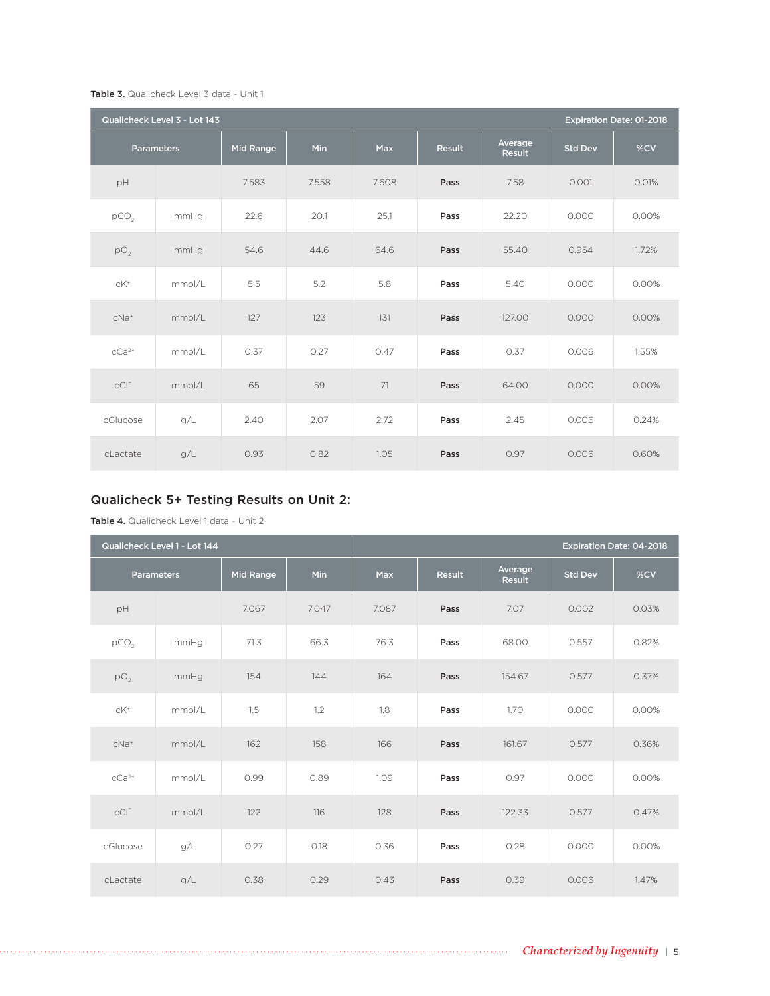#### Table 3. Qualicheck Level 3 data - Unit 1

|                  | Qualicheck Level 3 - Lot 143<br>Expiration Date: 01-2018 |                  |       |            |               |                   |                |       |  |  |  |
|------------------|----------------------------------------------------------|------------------|-------|------------|---------------|-------------------|----------------|-------|--|--|--|
|                  | <b>Parameters</b>                                        | <b>Mid Range</b> | Min   | <b>Max</b> | <b>Result</b> | Average<br>Result | <b>Std Dev</b> | %CV   |  |  |  |
| pH               |                                                          | 7.583            | 7.558 | 7.608      | Pass          | 7.58              | 0.001          | 0.01% |  |  |  |
| pCO <sub>2</sub> | mmHq                                                     | 22.6             | 20.1  | 25.1       | Pass          | 22.20             | 0.000          | 0.00% |  |  |  |
| pO <sub>2</sub>  | mmHg                                                     | 54.6             | 44.6  | 64.6       | Pass          | 55.40             | 0.954          | 1.72% |  |  |  |
| $cK^+$           | mmol/L                                                   | 5.5              | 5.2   | 5.8        | Pass          | 5.40              | 0.000          | 0.00% |  |  |  |
| $cNa+$           | mmol/L                                                   | 127              | 123   | 131        | Pass          | 127.00            | 0.000          | 0.00% |  |  |  |
| $cCa2+$          | mmol/L                                                   | 0.37             | 0.27  | 0.47       | Pass          | 0.37              | 0.006          | 1.55% |  |  |  |
| CCI              | mmol/L                                                   | 65               | 59    | 71         | Pass          | 64.00             | 0.000          | 0.00% |  |  |  |
| cGlucose         | g/L                                                      | 2.40             | 2.07  | 2.72       | Pass          | 2.45              | 0.006          | 0.24% |  |  |  |
| cLactate         | g/L                                                      | 0.93             | 0.82  | 1.05       | Pass          | 0.97              | 0.006          | 0.60% |  |  |  |

# Qualicheck 5+ Testing Results on Unit 2:

Table 4. Qualicheck Level 1 data - Unit 2

|                   | Qualicheck Level 1 - Lot 144 |                  |       |            | <b>Expiration Date: 04-2018</b> |                          |                |       |  |
|-------------------|------------------------------|------------------|-------|------------|---------------------------------|--------------------------|----------------|-------|--|
| <b>Parameters</b> |                              | <b>Mid Range</b> | Min   | <b>Max</b> | <b>Result</b>                   | Average<br><b>Result</b> | <b>Std Dev</b> | %CV   |  |
| pH                |                              | 7.067            | 7.047 | 7.087      | Pass                            | 7.07                     | 0.002          | 0.03% |  |
| pCO <sub>2</sub>  | mmHq                         | 71.3             | 66.3  | 76.3       | Pass                            | 68.00                    | 0.557          | 0.82% |  |
| pO <sub>2</sub>   | mmHg                         | 154              | 144   | 164        | Pass                            | 154.67                   | 0.577          | 0.37% |  |
| $cK^+$            | mmol/L                       | 1.5              | 1.2   | 1.8        | Pass                            | 1.70                     | 0.000          | 0.00% |  |
| $cNa+$            | mmol/L                       | 162              | 158   | 166        | Pass                            | 161.67                   | 0.577          | 0.36% |  |
| $CCa2+$           | mmol/L                       | 0.99             | 0.89  | 1.09       | Pass                            | 0.97                     | 0.000          | 0.00% |  |
| CCI               | mmol/L                       | 122              | 116   | 128        | Pass                            | 122.33                   | 0.577          | 0.47% |  |
| cGlucose          | g/L                          | 0.27             | 0.18  | 0.36       | Pass                            | 0.28                     | 0.000          | 0.00% |  |
| cLactate          | g/L                          | 0.38             | 0.29  | 0.43       | Pass                            | 0.39                     | 0.006          | 1.47% |  |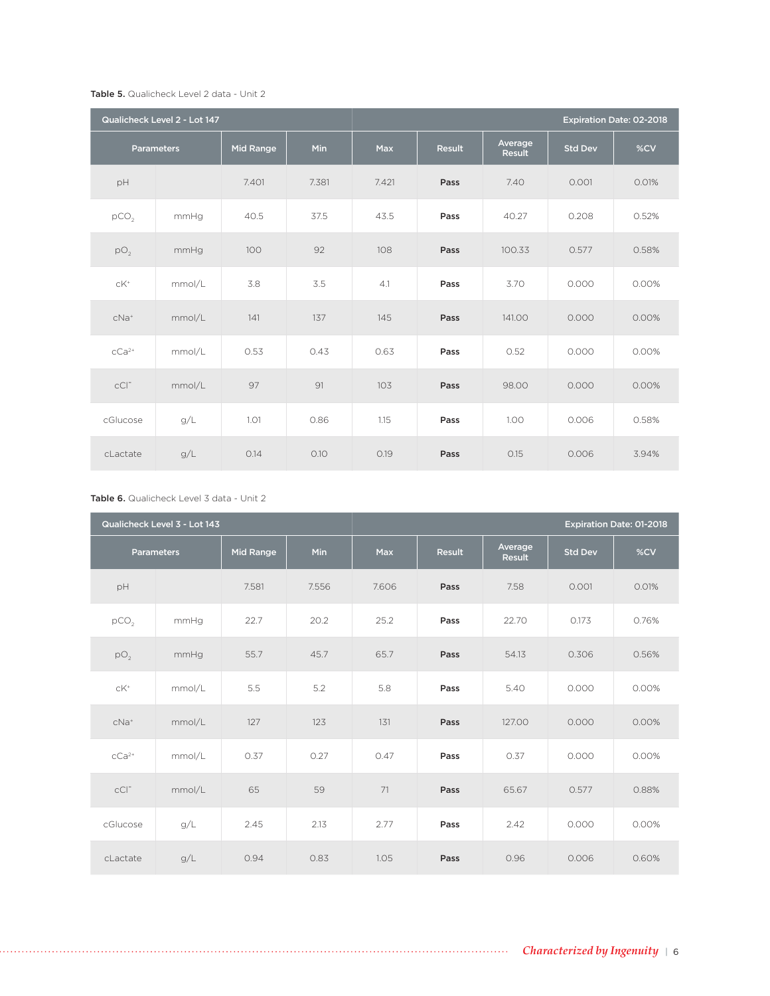## Table 5. Qualicheck Level 2 data - Unit 2

|                   | Qualicheck Level 2 - Lot 147 |                  |            |            | <b>Expiration Date: 02-2018</b> |                          |                |       |  |
|-------------------|------------------------------|------------------|------------|------------|---------------------------------|--------------------------|----------------|-------|--|
| <b>Parameters</b> |                              | <b>Mid Range</b> | <b>Min</b> | <b>Max</b> | Result                          | Average<br><b>Result</b> | <b>Std Dev</b> | %CV   |  |
| pH                |                              | 7.401            | 7.381      | 7.421      | Pass                            | 7.40                     | 0.001          | 0.01% |  |
| pCO <sub>2</sub>  | mmHg                         | 40.5             | 37.5       | 43.5       | Pass                            | 40.27                    | 0.208          | 0.52% |  |
| pO <sub>2</sub>   | mmHg                         | 100              | 92         | 108        | Pass                            | 100.33                   | 0.577          | 0.58% |  |
| $CK^+$            | mmol/L                       | 3.8              | 3.5        | 4.1        | Pass                            | 3.70                     | 0.000          | 0.00% |  |
| $cNa+$            | mmol/L                       | 141              | 137        | 145        | Pass                            | 141.00                   | 0.000          | 0.00% |  |
| $cCa2+$           | mmol/L                       | 0.53             | 0.43       | 0.63       | Pass                            | 0.52                     | 0.000          | 0.00% |  |
| C                 | mmol/L                       | 97               | 91         | 103        | Pass                            | 98.00                    | 0.000          | 0.00% |  |
| cGlucose          | g/L                          | 1.01             | 0.86       | 1.15       | Pass                            | 1.00                     | 0.006          | 0.58% |  |
| cLactate          | g/L                          | 0.14             | 0.10       | O.19       | Pass                            | O.15                     | 0.006          | 3.94% |  |

## Table 6. Qualicheck Level 3 data - Unit 2

| Qualicheck Level 3 - Lot 143 |        |           |       | Expiration Date: 01-2018 |               |                   |                |       |
|------------------------------|--------|-----------|-------|--------------------------|---------------|-------------------|----------------|-------|
| <b>Parameters</b>            |        | Mid Range | Min   | <b>Max</b>               | <b>Result</b> | Average<br>Result | <b>Std Dev</b> | %CV   |
| pH                           |        | 7.581     | 7.556 | 7.606                    | Pass          | 7.58              | 0.001          | 0.01% |
| pCO <sub>2</sub>             | mmHg   | 22.7      | 20.2  | 25.2                     | Pass          | 22.70             | 0.173          | 0.76% |
| pO <sub>2</sub>              | mmHg   | 55.7      | 45.7  | 65.7                     | Pass          | 54.13             | 0.306          | 0.56% |
| $cK^+$                       | mmol/L | 5.5       | 5.2   | 5.8                      | Pass          | 5.40              | 0.000          | 0.00% |
| $cNa+$                       | mmol/L | 127       | 123   | 131                      | Pass          | 127.00            | 0.000          | 0.00% |
| $CCa2+$                      | mmol/L | 0.37      | 0.27  | 0.47                     | Pass          | 0.37              | 0.000          | 0.00% |
| $cCl$ <sup>-</sup>           | mmol/L | 65        | 59    | 71                       | Pass          | 65.67             | 0.577          | 0.88% |
| cGlucose                     | g/L    | 2.45      | 2.13  | 2.77                     | Pass          | 2.42              | 0.000          | 0.00% |
| cLactate                     | g/L    | 0.94      | 0.83  | 1.05                     | Pass          | 0.96              | 0.006          | 0.60% |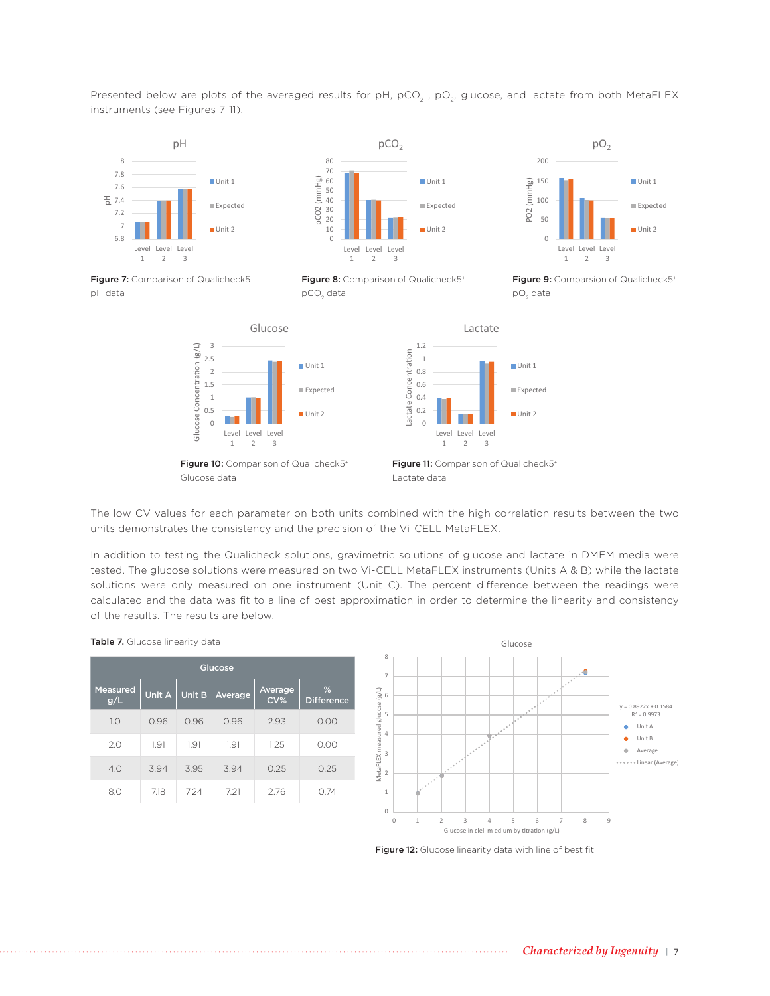Presented below are plots of the averaged results for pH, pCO<sub>2</sub>, pO<sub>2</sub>, glucose, and lactate from both MetaFLEX instruments (see Figures 7-11).



The low CV values for each parameter on both units combined with the high correlation results between the two units demonstrates the consistency and the precision of the Vi-CELL MetaFLEX.

In addition to testing the Qualicheck solutions, gravimetric solutions of glucose and lactate in DMEM media were tested. The glucose solutions were measured on two Vi-CELL MetaFLEX instruments (Units A & B) while the lactate solutions were only measured on one instrument (Unit C). The percent difference between the readings were calculated and the data was fit to a line of best approximation in order to determine the linearity and consistency of the results. The results are below.

| Glucose                |        |        |         |                |                        |  |  |  |  |  |
|------------------------|--------|--------|---------|----------------|------------------------|--|--|--|--|--|
| <b>Measured</b><br>g/L | Unit A | Unit B | Average | Average<br>CV% | %<br><b>Difference</b> |  |  |  |  |  |
| 1.0                    | 0.96   | 0.96   | 0.96    | 2.93           | 0.00                   |  |  |  |  |  |
| 2.0                    | 1.91   | 1.91   | 1.91    | 1.25           | 0.00                   |  |  |  |  |  |
| 4.0                    | 3.94   | 3.95   | 3.94    | 0.25           | 0.25                   |  |  |  |  |  |
| 8.0                    | 7.18   | 7.24   | 7.21    | 2.76           | 0.74                   |  |  |  |  |  |

Table 7. Glucose linearity data



Figure 12: Glucose linearity data with line of best fit